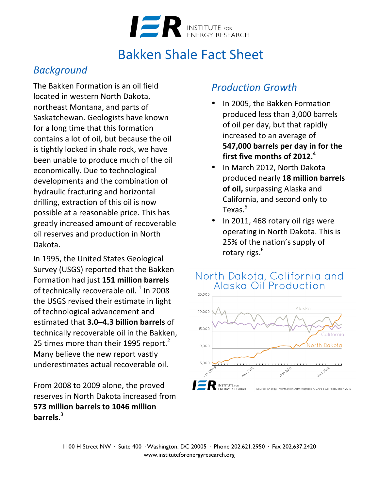

# **Bakken Shale Fact Sheet**

## *Background*

The Bakken Formation is an oil field located in western North Dakota, northeast Montana, and parts of Saskatchewan. Geologists have known for a long time that this formation contains a lot of oil, but because the oil is tightly locked in shale rock, we have been unable to produce much of the oil economically. Due to technological developments and the combination of hydraulic fracturing and horizontal drilling, extraction of this oil is now possible at a reasonable price. This has greatly increased amount of recoverable oil reserves and production in North Dakota.

In 1995, the United States Geological Survey (USGS) reported that the Bakken Formation had just **151 million barrels** of technically recoverable oil.  $1$  In 2008 the USGS revised their estimate in light of technological advancement and estimated that **3.0–4.3 billion barrels** of technically recoverable oil in the Bakken, 25 times more than their 1995 report.<sup>2</sup> Many believe the new report vastly underestimates actual recoverable oil.

From 2008 to 2009 alone, the proved reserves in North Dakota increased from **573 million barrels to 1046 million barrels**. 3

## *Production Growth*

- In 2005, the Bakken Formation produced less than 3,000 barrels of oil per day, but that rapidly increased to an average of **547,000** barrels per day in for the first five months of 2012.<sup>4</sup>
- In March 2012, North Dakota produced nearly **18 million barrels of oil, surpassing Alaska and** California, and second only to Texas.<sup>5</sup>
- In 2011, 468 rotary oil rigs were operating in North Dakota. This is 25% of the nation's supply of rotary rigs. $<sup>6</sup>$ </sup>

#### North Dakota, California and Alaska Oil Production

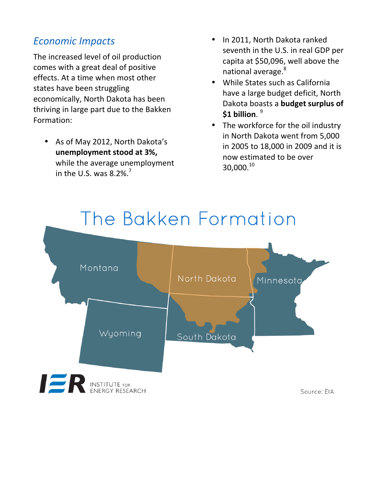## *Economic Impacts*

The increased level of oil production comes with a great deal of positive effects. At a time when most other states have been struggling economically, North Dakota has been thriving in large part due to the Bakken Formation:

• As of May 2012, North Dakota's **unemployment stood at 3%,** while the average unemployment in the U.S. was  $8.2\%$ .<sup>7</sup>

- In 2011, North Dakota ranked seventh in the U.S. in real GDP per capita at \$50,096, well above the national average.<sup>8</sup>
- While States such as California have a large budget deficit, North Dakota boasts a **budget surplus of** \$1 billion. 9
- The workforce for the oil industry in North Dakota went from 5,000 in 2005 to 18,000 in 2009 and it is now estimated to be over 30,000.<sup>10</sup>